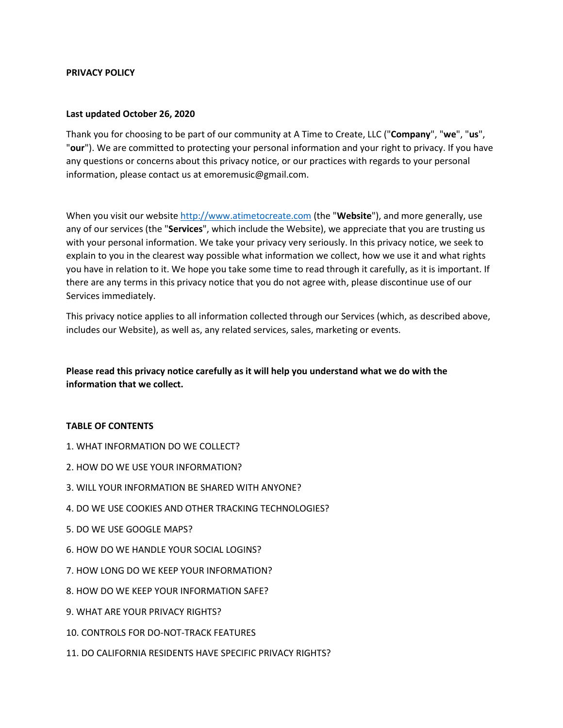#### **PRIVACY POLICY**

#### **Last updated October 26, 2020**

Thank you for choosing to be part of our community at A Time to Create, LLC ("**Company**", "**we**", "**us**", "**our**"). We are committed to protecting your personal information and your right to privacy. If you have any questions or concerns about this privacy notice, or our practices with regards to your personal information, please contact us at emoremusic@gmail.com.

When you visit our website [http://www.atimetocreate.com](http://www.atimetocreate.com/) (the "**Website**"), and more generally, use any of our services (the "**Services**", which include the Website), we appreciate that you are trusting us with your personal information. We take your privacy very seriously. In this privacy notice, we seek to explain to you in the clearest way possible what information we collect, how we use it and what rights you have in relation to it. We hope you take some time to read through it carefully, as it is important. If there are any terms in this privacy notice that you do not agree with, please discontinue use of our Services immediately.

This privacy notice applies to all information collected through our Services (which, as described above, includes our Website), as well as, any related services, sales, marketing or events.

# **Please read this privacy notice carefully as it will help you understand what we do with the information that we collect.**

#### **TABLE OF CONTENTS**

- 1. WHAT INFORMATION DO WE COLLECT?
- 2. HOW DO WE USE YOUR INFORMATION?
- 3. WILL YOUR INFORMATION BE SHARED WITH ANYONE?
- 4. DO WE USE COOKIES AND OTHER TRACKING TECHNOLOGIES?
- 5. DO WE USE GOOGLE MAPS?
- 6. HOW DO WE HANDLE YOUR SOCIAL LOGINS?
- 7. HOW LONG DO WE KEEP YOUR INFORMATION?
- 8. HOW DO WE KEEP YOUR INFORMATION SAFE?
- 9. WHAT ARE YOUR PRIVACY RIGHTS?
- 10. CONTROLS FOR DO-NOT-TRACK FEATURES
- 11. DO CALIFORNIA RESIDENTS HAVE SPECIFIC PRIVACY RIGHTS?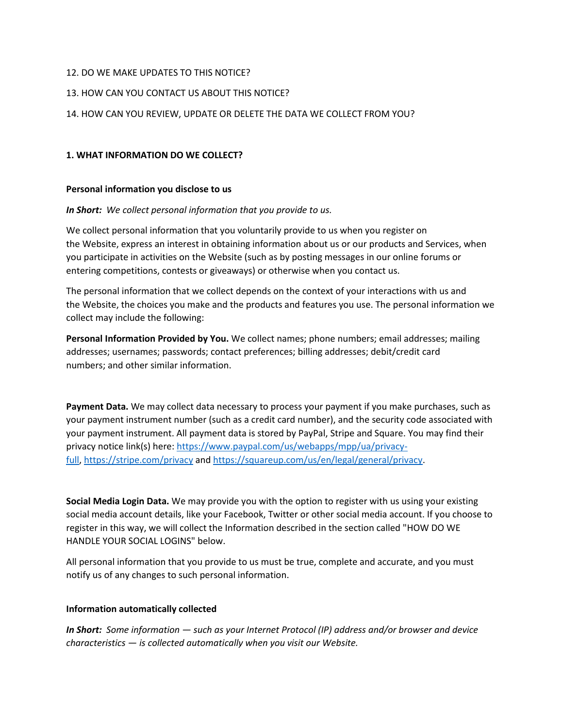## 12. DO WE MAKE UPDATES TO THIS NOTICE?

# 13. HOW CAN YOU CONTACT US ABOUT THIS NOTICE?

## 14. HOW CAN YOU REVIEW, UPDATE OR DELETE THE DATA WE COLLECT FROM YOU?

#### **1. WHAT INFORMATION DO WE COLLECT?**

#### **Personal information you disclose to us**

## *In Short: We collect personal information that you provide to us.*

We collect personal information that you voluntarily provide to us when you register on the Website, express an interest in obtaining information about us or our products and Services, when you participate in activities on the Website (such as by posting messages in our online forums or entering competitions, contests or giveaways) or otherwise when you contact us.

The personal information that we collect depends on the context of your interactions with us and the Website, the choices you make and the products and features you use. The personal information we collect may include the following:

**Personal Information Provided by You.** We collect names; phone numbers; email addresses; mailing addresses; usernames; passwords; contact preferences; billing addresses; debit/credit card numbers; and other similar information.

**Payment Data.** We may collect data necessary to process your payment if you make purchases, such as your payment instrument number (such as a credit card number), and the security code associated with your payment instrument. All payment data is stored by PayPal, Stripe and Square. You may find their privacy notice link(s) here: [https://www.paypal.com/us/webapps/mpp/ua/privacy](https://www.paypal.com/us/webapps/mpp/ua/privacy-full)[full,](https://www.paypal.com/us/webapps/mpp/ua/privacy-full) <https://stripe.com/privacy> and [https://squareup.com/us/en/legal/general/privacy.](https://squareup.com/us/en/legal/general/privacy)

**Social Media Login Data.** We may provide you with the option to register with us using your existing social media account details, like your Facebook, Twitter or other social media account. If you choose to register in this way, we will collect the Information described in the section called "HOW DO WE HANDLE YOUR SOCIAL LOGINS" below.

All personal information that you provide to us must be true, complete and accurate, and you must notify us of any changes to such personal information.

## **Information automatically collected**

*In Short: Some information — such as your Internet Protocol (IP) address and/or browser and device characteristics — is collected automatically when you visit our Website.*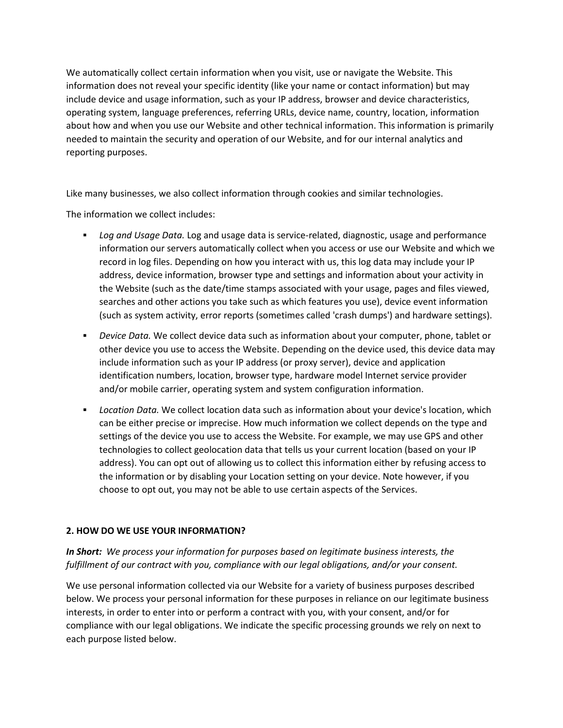We automatically collect certain information when you visit, use or navigate the Website. This information does not reveal your specific identity (like your name or contact information) but may include device and usage information, such as your IP address, browser and device characteristics, operating system, language preferences, referring URLs, device name, country, location, information about how and when you use our Website and other technical information. This information is primarily needed to maintain the security and operation of our Website, and for our internal analytics and reporting purposes.

Like many businesses, we also collect information through cookies and similar technologies.

The information we collect includes:

- *Log and Usage Data.* Log and usage data is service-related, diagnostic, usage and performance information our servers automatically collect when you access or use our Website and which we record in log files. Depending on how you interact with us, this log data may include your IP address, device information, browser type and settings and information about your activity in the Website (such as the date/time stamps associated with your usage, pages and files viewed, searches and other actions you take such as which features you use), device event information (such as system activity, error reports (sometimes called 'crash dumps') and hardware settings).
- *Device Data.* We collect device data such as information about your computer, phone, tablet or other device you use to access the Website. Depending on the device used, this device data may include information such as your IP address (or proxy server), device and application identification numbers, location, browser type, hardware model Internet service provider and/or mobile carrier, operating system and system configuration information.
- *Location Data.* We collect location data such as information about your device's location, which can be either precise or imprecise. How much information we collect depends on the type and settings of the device you use to access the Website. For example, we may use GPS and other technologies to collect geolocation data that tells us your current location (based on your IP address). You can opt out of allowing us to collect this information either by refusing access to the information or by disabling your Location setting on your device. Note however, if you choose to opt out, you may not be able to use certain aspects of the Services.

# **2. HOW DO WE USE YOUR INFORMATION?**

*In Short: We process your information for purposes based on legitimate business interests, the fulfillment of our contract with you, compliance with our legal obligations, and/or your consent.*

We use personal information collected via our Website for a variety of business purposes described below. We process your personal information for these purposes in reliance on our legitimate business interests, in order to enter into or perform a contract with you, with your consent, and/or for compliance with our legal obligations. We indicate the specific processing grounds we rely on next to each purpose listed below.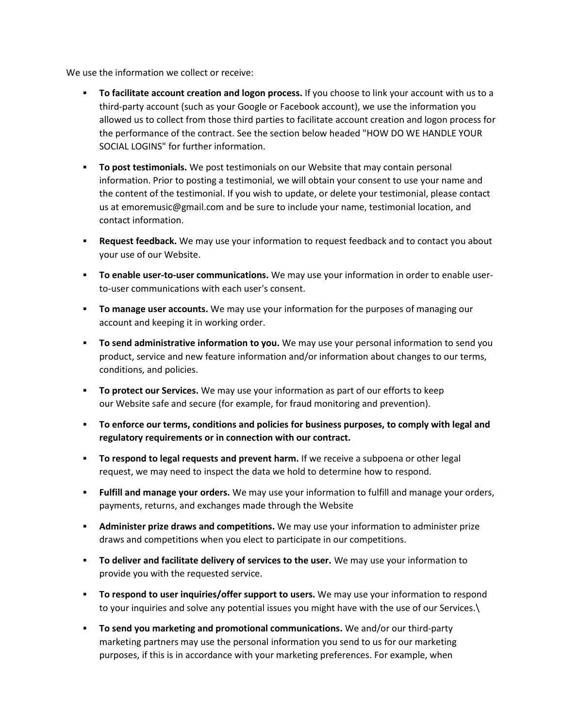We use the information we collect or receive:

- **To facilitate account creation and logon process.** If you choose to link your account with us to a third-party account (such as your Google or Facebook account), we use the information you allowed us to collect from those third parties to facilitate account creation and logon process for the performance of the contract. See the section below headed "HOW DO WE HANDLE YOUR SOCIAL LOGINS" for further information.
- **To post testimonials.** We post testimonials on our Website that may contain personal information. Prior to posting a testimonial, we will obtain your consent to use your name and the content of the testimonial. If you wish to update, or delete your testimonial, please contact us at emoremusic@gmail.com and be sure to include your name, testimonial location, and contact information.
- **EXECT** Request feedback. We may use your information to request feedback and to contact you about your use of our Website.
- **To enable user-to-user communications.** We may use your information in order to enable userto-user communications with each user's consent.
- **To manage user accounts.** We may use your information for the purposes of managing our account and keeping it in working order.
- **EXED 5 1 To send administrative information to you.** We may use your personal information to send you product, service and new feature information and/or information about changes to our terms, conditions, and policies.
- **To protect our Services.** We may use your information as part of our efforts to keep our Website safe and secure (for example, for fraud monitoring and prevention).
- **To enforce our terms, conditions and policies for business purposes, to comply with legal and regulatory requirements or in connection with our contract.**
- **To respond to legal requests and prevent harm.** If we receive a subpoena or other legal request, we may need to inspect the data we hold to determine how to respond.
- **Eulfill and manage your orders.** We may use your information to fulfill and manage your orders, payments, returns, and exchanges made through the Website
- **EXEDMINIST Administer prize draws and competitions.** We may use your information to administer prize draws and competitions when you elect to participate in our competitions.
- **To deliver and facilitate delivery of services to the user.** We may use your information to provide you with the requested service.
- **To respond to user inquiries/offer support to users.** We may use your information to respond to your inquiries and solve any potential issues you might have with the use of our Services.\
- **To send you marketing and promotional communications.** We and/or our third-party marketing partners may use the personal information you send to us for our marketing purposes, if this is in accordance with your marketing preferences. For example, when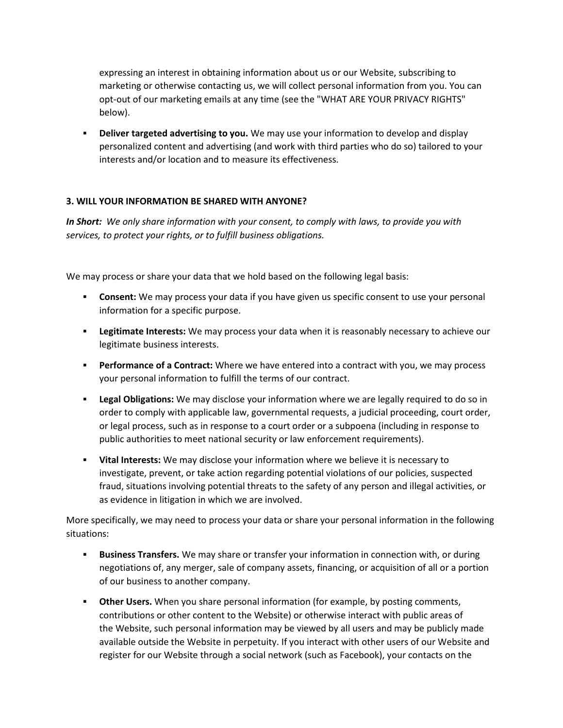expressing an interest in obtaining information about us or our Website, subscribing to marketing or otherwise contacting us, we will collect personal information from you. You can opt-out of our marketing emails at any time (see the "WHAT ARE YOUR PRIVACY RIGHTS" below).

**EXED 1** Deliver targeted advertising to you. We may use your information to develop and display personalized content and advertising (and work with third parties who do so) tailored to your interests and/or location and to measure its effectiveness.

## **3. WILL YOUR INFORMATION BE SHARED WITH ANYONE?**

*In Short: We only share information with your consent, to comply with laws, to provide you with services, to protect your rights, or to fulfill business obligations.*

We may process or share your data that we hold based on the following legal basis:

- **EXP** Consent: We may process your data if you have given us specific consent to use your personal information for a specific purpose.
- **Example 3 Interests:** We may process your data when it is reasonably necessary to achieve our legitimate business interests.
- **Performance of a Contract:** Where we have entered into a contract with you, we may process your personal information to fulfill the terms of our contract.
- **Example 1 Dept 2 Legal Obligations:** We may disclose your information where we are legally required to do so in order to comply with applicable law, governmental requests, a judicial proceeding, court order, or legal process, such as in response to a court order or a subpoena (including in response to public authorities to meet national security or law enforcement requirements).
- **Vital Interests:** We may disclose your information where we believe it is necessary to investigate, prevent, or take action regarding potential violations of our policies, suspected fraud, situations involving potential threats to the safety of any person and illegal activities, or as evidence in litigation in which we are involved.

More specifically, we may need to process your data or share your personal information in the following situations:

- **EXED 15 IS 15 YES 15 YES TRANSFERS.** We may share or transfer your information in connection with, or during negotiations of, any merger, sale of company assets, financing, or acquisition of all or a portion of our business to another company.
- **EXED 10 HOM THE VISITS: Other Users.** When you share personal information (for example, by posting comments, contributions or other content to the Website) or otherwise interact with public areas of the Website, such personal information may be viewed by all users and may be publicly made available outside the Website in perpetuity. If you interact with other users of our Website and register for our Website through a social network (such as Facebook), your contacts on the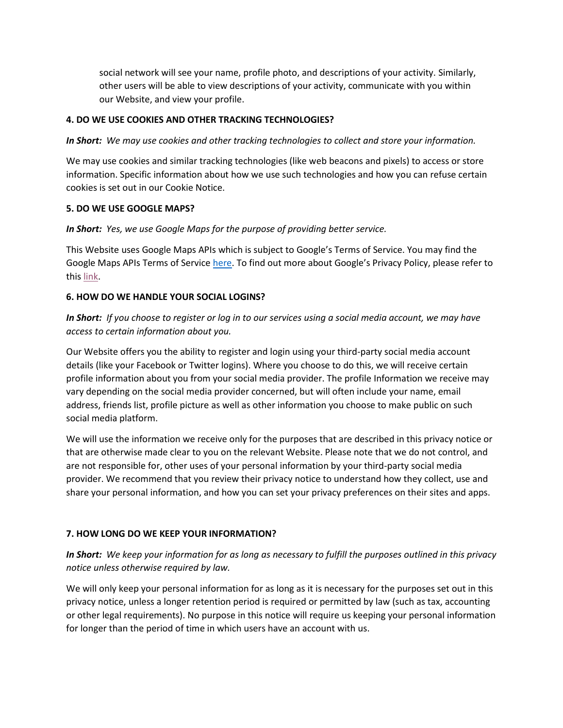social network will see your name, profile photo, and descriptions of your activity. Similarly, other users will be able to view descriptions of your activity, communicate with you within our Website, and view your profile.

## **4. DO WE USE COOKIES AND OTHER TRACKING TECHNOLOGIES?**

*In Short: We may use cookies and other tracking technologies to collect and store your information.*

We may use cookies and similar tracking technologies (like web beacons and pixels) to access or store information. Specific information about how we use such technologies and how you can refuse certain cookies is set out in our Cookie Notice.

## **5. DO WE USE GOOGLE MAPS?**

*In Short: Yes, we use Google Maps for the purpose of providing better service.*

This Website uses Google Maps APIs which is subject to Google's Terms of Service. You may find the Google Maps APIs Terms of Service [here.](https://developers.google.com/maps/terms) To find out more about Google's Privacy Policy, please refer to this [link.](https://policies.google.com/privacy)

## **6. HOW DO WE HANDLE YOUR SOCIAL LOGINS?**

*In Short: If you choose to register or log in to our services using a social media account, we may have access to certain information about you.*

Our Website offers you the ability to register and login using your third-party social media account details (like your Facebook or Twitter logins). Where you choose to do this, we will receive certain profile information about you from your social media provider. The profile Information we receive may vary depending on the social media provider concerned, but will often include your name, email address, friends list, profile picture as well as other information you choose to make public on such social media platform.

We will use the information we receive only for the purposes that are described in this privacy notice or that are otherwise made clear to you on the relevant Website. Please note that we do not control, and are not responsible for, other uses of your personal information by your third-party social media provider. We recommend that you review their privacy notice to understand how they collect, use and share your personal information, and how you can set your privacy preferences on their sites and apps.

# **7. HOW LONG DO WE KEEP YOUR INFORMATION?**

*In Short: We keep your information for as long as necessary to fulfill the purposes outlined in this privacy notice unless otherwise required by law.*

We will only keep your personal information for as long as it is necessary for the purposes set out in this privacy notice, unless a longer retention period is required or permitted by law (such as tax, accounting or other legal requirements). No purpose in this notice will require us keeping your personal information for longer than the period of time in which users have an account with us.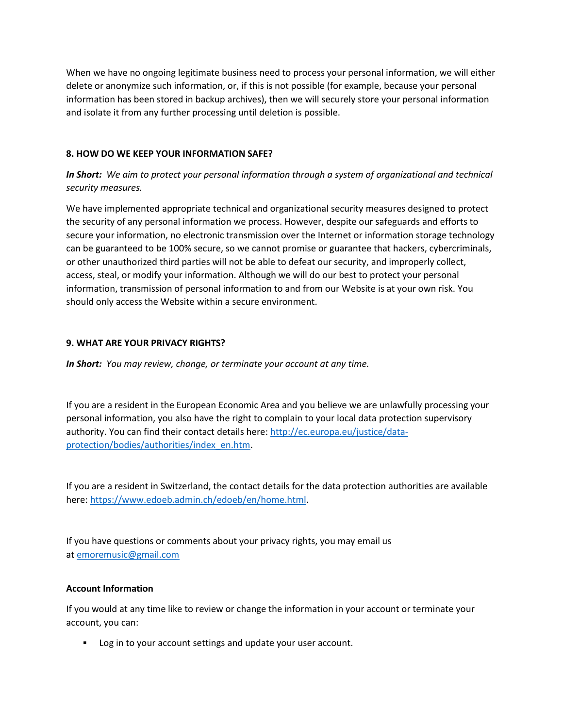When we have no ongoing legitimate business need to process your personal information, we will either delete or anonymize such information, or, if this is not possible (for example, because your personal information has been stored in backup archives), then we will securely store your personal information and isolate it from any further processing until deletion is possible.

## **8. HOW DO WE KEEP YOUR INFORMATION SAFE?**

# *In Short: We aim to protect your personal information through a system of organizational and technical security measures.*

We have implemented appropriate technical and organizational security measures designed to protect the security of any personal information we process. However, despite our safeguards and efforts to secure your information, no electronic transmission over the Internet or information storage technology can be guaranteed to be 100% secure, so we cannot promise or guarantee that hackers, cybercriminals, or other unauthorized third parties will not be able to defeat our security, and improperly collect, access, steal, or modify your information. Although we will do our best to protect your personal information, transmission of personal information to and from our Website is at your own risk. You should only access the Website within a secure environment.

## **9. WHAT ARE YOUR PRIVACY RIGHTS?**

*In Short: You may review, change, or terminate your account at any time.*

If you are a resident in the European Economic Area and you believe we are unlawfully processing your personal information, you also have the right to complain to your local data protection supervisory authority. You can find their contact details here: [http://ec.europa.eu/justice/data](http://ec.europa.eu/justice/data-protection/bodies/authorities/index_en.htm)[protection/bodies/authorities/index\\_en.htm.](http://ec.europa.eu/justice/data-protection/bodies/authorities/index_en.htm)

If you are a resident in Switzerland, the contact details for the data protection authorities are available here: [https://www.edoeb.admin.ch/edoeb/en/home.html.](https://www.edoeb.admin.ch/edoeb/en/home.html)

If you have questions or comments about your privacy rights, you may email us at [emoremusic@gmail.com](mailto:emoremusic@gmail.com)

## **Account Information**

If you would at any time like to review or change the information in your account or terminate your account, you can:

▪ Log in to your account settings and update your user account.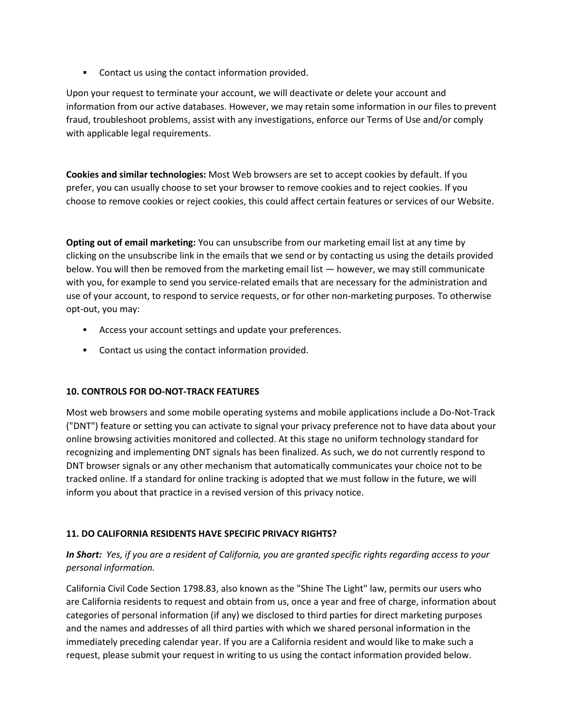■ Contact us using the contact information provided.

Upon your request to terminate your account, we will deactivate or delete your account and information from our active databases. However, we may retain some information in our files to prevent fraud, troubleshoot problems, assist with any investigations, enforce our Terms of Use and/or comply with applicable legal requirements.

**Cookies and similar technologies:** Most Web browsers are set to accept cookies by default. If you prefer, you can usually choose to set your browser to remove cookies and to reject cookies. If you choose to remove cookies or reject cookies, this could affect certain features or services of our Website.

**Opting out of email marketing:** You can unsubscribe from our marketing email list at any time by clicking on the unsubscribe link in the emails that we send or by contacting us using the details provided below. You will then be removed from the marketing email list — however, we may still communicate with you, for example to send you service-related emails that are necessary for the administration and use of your account, to respond to service requests, or for other non-marketing purposes. To otherwise opt-out, you may:

- Access your account settings and update your preferences.
- Contact us using the contact information provided.

# **10. CONTROLS FOR DO-NOT-TRACK FEATURES**

Most web browsers and some mobile operating systems and mobile applications include a Do-Not-Track ("DNT") feature or setting you can activate to signal your privacy preference not to have data about your online browsing activities monitored and collected. At this stage no uniform technology standard for recognizing and implementing DNT signals has been finalized. As such, we do not currently respond to DNT browser signals or any other mechanism that automatically communicates your choice not to be tracked online. If a standard for online tracking is adopted that we must follow in the future, we will inform you about that practice in a revised version of this privacy notice.

# **11. DO CALIFORNIA RESIDENTS HAVE SPECIFIC PRIVACY RIGHTS?**

*In Short: Yes, if you are a resident of California, you are granted specific rights regarding access to your personal information.*

California Civil Code Section 1798.83, also known as the "Shine The Light" law, permits our users who are California residents to request and obtain from us, once a year and free of charge, information about categories of personal information (if any) we disclosed to third parties for direct marketing purposes and the names and addresses of all third parties with which we shared personal information in the immediately preceding calendar year. If you are a California resident and would like to make such a request, please submit your request in writing to us using the contact information provided below.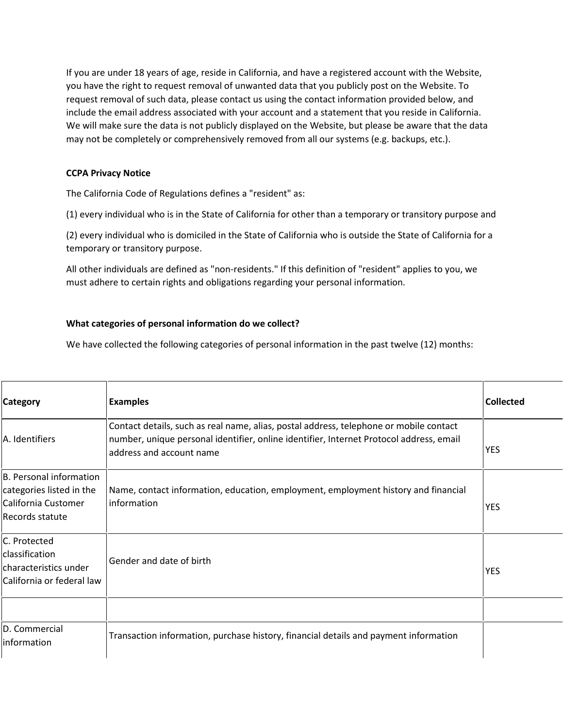If you are under 18 years of age, reside in California, and have a registered account with the Website, you have the right to request removal of unwanted data that you publicly post on the Website. To request removal of such data, please contact us using the contact information provided below, and include the email address associated with your account and a statement that you reside in California. We will make sure the data is not publicly displayed on the Website, but please be aware that the data may not be completely or comprehensively removed from all our systems (e.g. backups, etc.).

## **CCPA Privacy Notice**

The California Code of Regulations defines a "resident" as:

(1) every individual who is in the State of California for other than a temporary or transitory purpose and

(2) every individual who is domiciled in the State of California who is outside the State of California for a temporary or transitory purpose.

All other individuals are defined as "non-residents." If this definition of "resident" applies to you, we must adhere to certain rights and obligations regarding your personal information.

# **What categories of personal information do we collect?**

We have collected the following categories of personal information in the past twelve (12) months:

| <b>Category</b>                                                                               | <b>Examples</b>                                                                                                                                                                                               | <b>Collected</b> |
|-----------------------------------------------------------------------------------------------|---------------------------------------------------------------------------------------------------------------------------------------------------------------------------------------------------------------|------------------|
| A. Identifiers                                                                                | Contact details, such as real name, alias, postal address, telephone or mobile contact<br>number, unique personal identifier, online identifier, Internet Protocol address, email<br>address and account name | <b>YES</b>       |
| B. Personal information<br>categories listed in the<br>California Customer<br>Records statute | Name, contact information, education, employment, employment history and financial<br>information                                                                                                             | <b>YES</b>       |
| C. Protected<br>classification<br>characteristics under<br>California or federal law          | Gender and date of birth                                                                                                                                                                                      | <b>YES</b>       |
|                                                                                               |                                                                                                                                                                                                               |                  |
| D. Commercial<br>information                                                                  | Transaction information, purchase history, financial details and payment information                                                                                                                          |                  |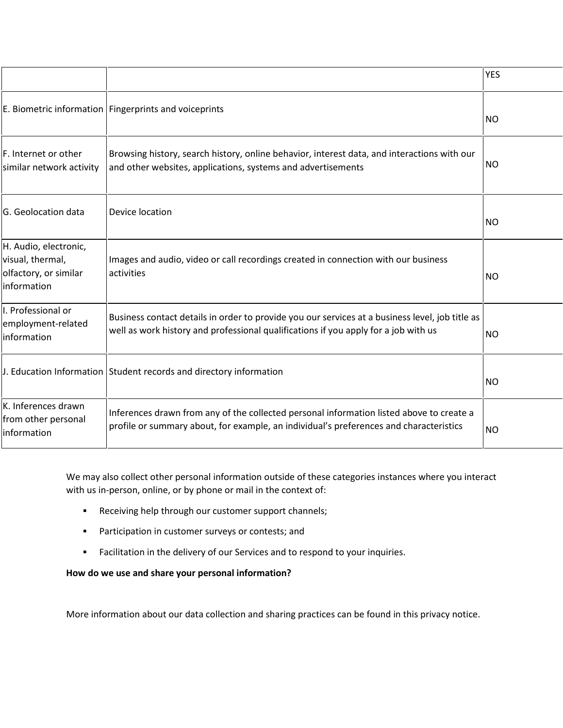|                                                                                   |                                                                                                                                                                                        | <b>YES</b> |
|-----------------------------------------------------------------------------------|----------------------------------------------------------------------------------------------------------------------------------------------------------------------------------------|------------|
|                                                                                   | E. Biometric information   Fingerprints and voiceprints                                                                                                                                | <b>NO</b>  |
| F. Internet or other<br>similar network activity                                  | Browsing history, search history, online behavior, interest data, and interactions with our<br>and other websites, applications, systems and advertisements                            | <b>NO</b>  |
| G. Geolocation data                                                               | Device location                                                                                                                                                                        | <b>NO</b>  |
| H. Audio, electronic,<br>visual, thermal,<br>olfactory, or similar<br>information | Images and audio, video or call recordings created in connection with our business<br>activities                                                                                       | <b>NO</b>  |
| I. Professional or<br>employment-related<br>information                           | Business contact details in order to provide you our services at a business level, job title as<br>well as work history and professional qualifications if you apply for a job with us | <b>NO</b>  |
|                                                                                   | J. Education Information Student records and directory information                                                                                                                     | <b>NO</b>  |
| K. Inferences drawn<br>from other personal<br><b>Information</b>                  | Inferences drawn from any of the collected personal information listed above to create a<br>profile or summary about, for example, an individual's preferences and characteristics     | <b>NO</b>  |

We may also collect other personal information outside of these categories instances where you interact with us in-person, online, or by phone or mail in the context of:

- Receiving help through our customer support channels;
- **•** Participation in customer surveys or contests; and
- Facilitation in the delivery of our Services and to respond to your inquiries.

**How do we use and share your personal information?**

More information about our data collection and sharing practices can be found in this privacy notice.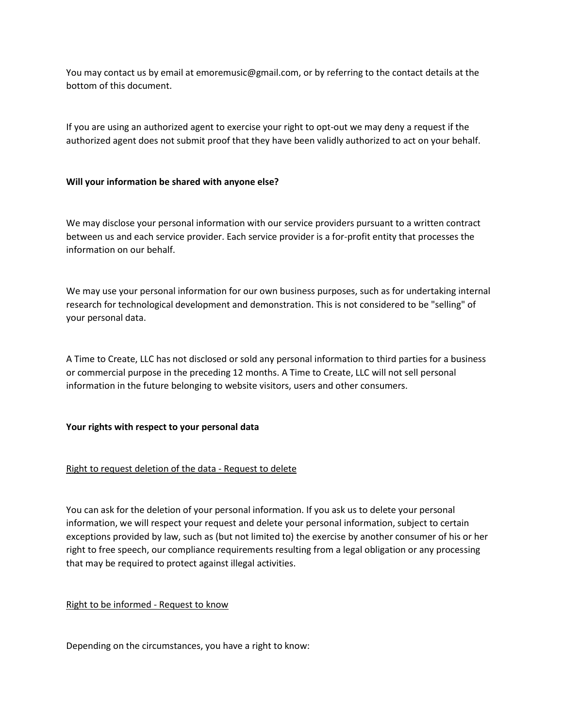You may contact us by email at emoremusic@gmail.com, or by referring to the contact details at the bottom of this document.

If you are using an authorized agent to exercise your right to opt-out we may deny a request if the authorized agent does not submit proof that they have been validly authorized to act on your behalf.

## **Will your information be shared with anyone else?**

We may disclose your personal information with our service providers pursuant to a written contract between us and each service provider. Each service provider is a for-profit entity that processes the information on our behalf.

We may use your personal information for our own business purposes, such as for undertaking internal research for technological development and demonstration. This is not considered to be "selling" of your personal data.

A Time to Create, LLC has not disclosed or sold any personal information to third parties for a business or commercial purpose in the preceding 12 months. A Time to Create, LLC will not sell personal information in the future belonging to website visitors, users and other consumers.

## **Your rights with respect to your personal data**

# Right to request deletion of the data - Request to delete

You can ask for the deletion of your personal information. If you ask us to delete your personal information, we will respect your request and delete your personal information, subject to certain exceptions provided by law, such as (but not limited to) the exercise by another consumer of his or her right to free speech, our compliance requirements resulting from a legal obligation or any processing that may be required to protect against illegal activities.

## Right to be informed - Request to know

Depending on the circumstances, you have a right to know: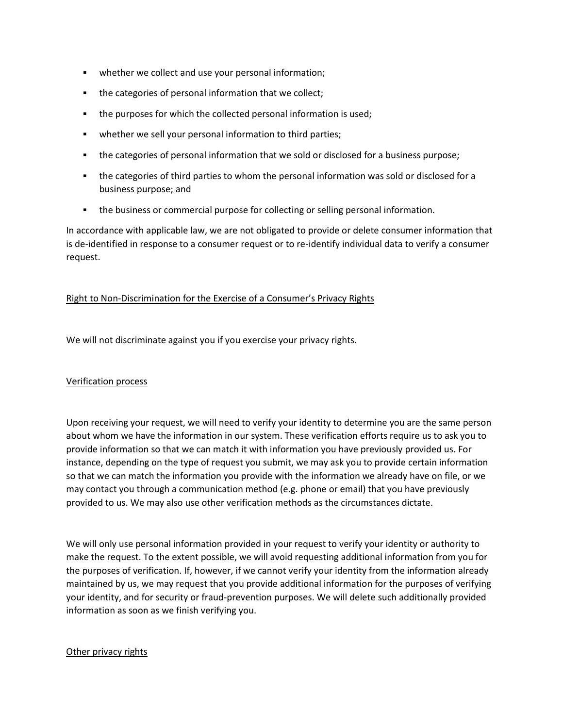- whether we collect and use your personal information;
- the categories of personal information that we collect;
- the purposes for which the collected personal information is used;
- whether we sell your personal information to third parties;
- the categories of personal information that we sold or disclosed for a business purpose;
- the categories of third parties to whom the personal information was sold or disclosed for a business purpose; and
- **•** the business or commercial purpose for collecting or selling personal information.

In accordance with applicable law, we are not obligated to provide or delete consumer information that is de-identified in response to a consumer request or to re-identify individual data to verify a consumer request.

## Right to Non-Discrimination for the Exercise of a Consumer's Privacy Rights

We will not discriminate against you if you exercise your privacy rights.

## Verification process

Upon receiving your request, we will need to verify your identity to determine you are the same person about whom we have the information in our system. These verification efforts require us to ask you to provide information so that we can match it with information you have previously provided us. For instance, depending on the type of request you submit, we may ask you to provide certain information so that we can match the information you provide with the information we already have on file, or we may contact you through a communication method (e.g. phone or email) that you have previously provided to us. We may also use other verification methods as the circumstances dictate.

We will only use personal information provided in your request to verify your identity or authority to make the request. To the extent possible, we will avoid requesting additional information from you for the purposes of verification. If, however, if we cannot verify your identity from the information already maintained by us, we may request that you provide additional information for the purposes of verifying your identity, and for security or fraud-prevention purposes. We will delete such additionally provided information as soon as we finish verifying you.

## Other privacy rights